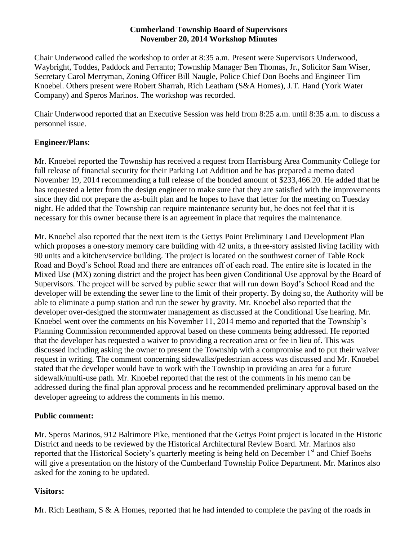### **Cumberland Township Board of Supervisors November 20, 2014 Workshop Minutes**

Chair Underwood called the workshop to order at 8:35 a.m. Present were Supervisors Underwood, Waybright, Toddes, Paddock and Ferranto; Township Manager Ben Thomas, Jr., Solicitor Sam Wiser, Secretary Carol Merryman, Zoning Officer Bill Naugle, Police Chief Don Boehs and Engineer Tim Knoebel. Others present were Robert Sharrah, Rich Leatham (S&A Homes), J.T. Hand (York Water Company) and Speros Marinos. The workshop was recorded.

Chair Underwood reported that an Executive Session was held from 8:25 a.m. until 8:35 a.m. to discuss a personnel issue.

# **Engineer/Plans**:

Mr. Knoebel reported the Township has received a request from Harrisburg Area Community College for full release of financial security for their Parking Lot Addition and he has prepared a memo dated November 19, 2014 recommending a full release of the bonded amount of \$233,466.20. He added that he has requested a letter from the design engineer to make sure that they are satisfied with the improvements since they did not prepare the as-built plan and he hopes to have that letter for the meeting on Tuesday night. He added that the Township can require maintenance security but, he does not feel that it is necessary for this owner because there is an agreement in place that requires the maintenance.

Mr. Knoebel also reported that the next item is the Gettys Point Preliminary Land Development Plan which proposes a one-story memory care building with 42 units, a three-story assisted living facility with 90 units and a kitchen/service building. The project is located on the southwest corner of Table Rock Road and Boyd's School Road and there are entrances off of each road. The entire site is located in the Mixed Use (MX) zoning district and the project has been given Conditional Use approval by the Board of Supervisors. The project will be served by public sewer that will run down Boyd's School Road and the developer will be extending the sewer line to the limit of their property. By doing so, the Authority will be able to eliminate a pump station and run the sewer by gravity. Mr. Knoebel also reported that the developer over-designed the stormwater management as discussed at the Conditional Use hearing. Mr. Knoebel went over the comments on his November 11, 2014 memo and reported that the Township's Planning Commission recommended approval based on these comments being addressed. He reported that the developer has requested a waiver to providing a recreation area or fee in lieu of. This was discussed including asking the owner to present the Township with a compromise and to put their waiver request in writing. The comment concerning sidewalks/pedestrian access was discussed and Mr. Knoebel stated that the developer would have to work with the Township in providing an area for a future sidewalk/multi-use path. Mr. Knoebel reported that the rest of the comments in his memo can be addressed during the final plan approval process and he recommended preliminary approval based on the developer agreeing to address the comments in his memo.

# **Public comment:**

Mr. Speros Marinos, 912 Baltimore Pike, mentioned that the Gettys Point project is located in the Historic District and needs to be reviewed by the Historical Architectural Review Board. Mr. Marinos also reported that the Historical Society's quarterly meeting is being held on December 1<sup>st</sup> and Chief Boehs will give a presentation on the history of the Cumberland Township Police Department. Mr. Marinos also asked for the zoning to be updated.

# **Visitors:**

Mr. Rich Leatham,  $S \& A$  Homes, reported that he had intended to complete the paving of the roads in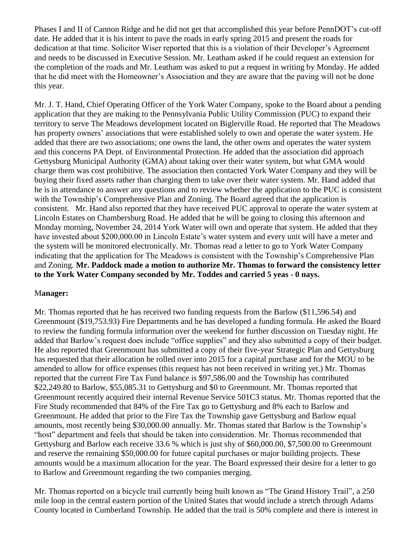Phases I and II of Cannon Ridge and he did not get that accomplished this year before PennDOT's cut-off date. He added that it is his intent to pave the roads in early spring 2015 and present the roads for dedication at that time. Solicitor Wiser reported that this is a violation of their Developer's Agreement and needs to be discussed in Executive Session. Mr. Leatham asked if he could request an extension for the completion of the roads and Mr. Leatham was asked to put a request in writing by Monday. He added that he did meet with the Homeowner's Association and they are aware that the paving will not be done this year.

Mr. J. T. Hand, Chief Operating Officer of the York Water Company, spoke to the Board about a pending application that they are making to the Pennsylvania Public Utility Commission (PUC) to expand their territory to serve The Meadows development located on Biglerville Road. He reported that The Meadows has property owners' associations that were established solely to own and operate the water system. He added that there are two associations; one owns the land, the other owns and operates the water system and this concerns PA Dept. of Environmental Protection. He added that the association did approach Gettysburg Municipal Authority (GMA) about taking over their water system, but what GMA would charge them was cost prohibitive. The association then contacted York Water Company and they will be buying their fixed assets rather than charging them to take over their water system. Mr. Hand added that he is in attendance to answer any questions and to review whether the application to the PUC is consistent with the Township's Comprehensive Plan and Zoning. The Board agreed that the application is consistent. Mr. Hand also reported that they have received PUC approval to operate the water system at Lincoln Estates on Chambersburg Road. He added that he will be going to closing this afternoon and Monday morning, November 24, 2014 York Water will own and operate that system. He added that they have invested about \$200,000.00 in Lincoln Estate's water system and every unit will have a meter and the system will be monitored electronically. Mr. Thomas read a letter to go to York Water Company indicating that the application for The Meadows is consistent with the Township's Comprehensive Plan and Zoning. **Mr. Paddock made a motion to authorize Mr. Thomas to forward the consistency letter to the York Water Company seconded by Mr. Toddes and carried 5 yeas - 0 nays.**

### M**anager:**

Mr. Thomas reported that he has received two funding requests from the Barlow (\$11,596.54) and Greenmount (\$19,753.93) Fire Departments and he has developed a funding formula. He asked the Board to review the funding formula information over the weekend for further discussion on Tuesday night. He added that Barlow's request does include "office supplies" and they also submitted a copy of their budget. He also reported that Greenmount has submitted a copy of their five-year Strategic Plan and Gettysburg has requested that their allocation be rolled over into 2015 for a capital purchase and for the MOU to be amended to allow for office expenses (this request has not been received in writing yet.) Mr. Thomas reported that the current Fire Tax Fund balance is \$97,586.00 and the Township has contributed \$22,249.80 to Barlow, \$55,085.31 to Gettysburg and \$0 to Greenmount. Mr. Thomas reported that Greenmount recently acquired their internal Revenue Service 501C3 status. Mr. Thomas reported that the Fire Study recommended that 84% of the Fire Tax go to Gettysburg and 8% each to Barlow and Greenmount. He added that prior to the Fire Tax the Township gave Gettysburg and Barlow equal amounts, most recently being \$30,000.00 annually. Mr. Thomas stated that Barlow is the Township's "host" department and feels that should be taken into consideration. Mr. Thomas recommended that Gettysburg and Barlow each receive 33.6 % which is just shy of \$60,000.00, \$7,500.00 to Greenmount and reserve the remaining \$50,000.00 for future capital purchases or major building projects. These amounts would be a maximum allocation for the year. The Board expressed their desire for a letter to go to Barlow and Greenmount regarding the two companies merging.

Mr. Thomas reported on a bicycle trail currently being built known as "The Grand History Trail", a 250 mile loop in the central eastern portion of the United States that would include a stretch through Adams County located in Cumberland Township. He added that the trail is 50% complete and there is interest in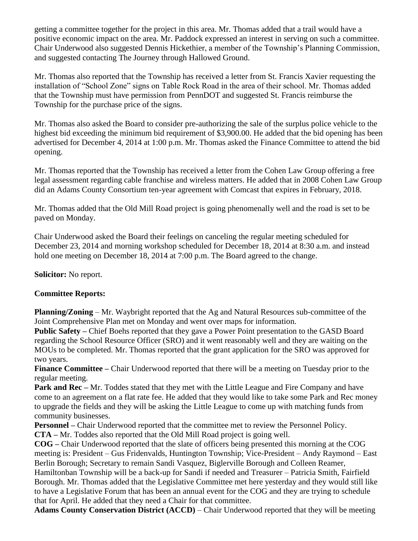getting a committee together for the project in this area. Mr. Thomas added that a trail would have a positive economic impact on the area. Mr. Paddock expressed an interest in serving on such a committee. Chair Underwood also suggested Dennis Hickethier, a member of the Township's Planning Commission, and suggested contacting The Journey through Hallowed Ground.

Mr. Thomas also reported that the Township has received a letter from St. Francis Xavier requesting the installation of "School Zone" signs on Table Rock Road in the area of their school. Mr. Thomas added that the Township must have permission from PennDOT and suggested St. Francis reimburse the Township for the purchase price of the signs.

Mr. Thomas also asked the Board to consider pre-authorizing the sale of the surplus police vehicle to the highest bid exceeding the minimum bid requirement of \$3,900.00. He added that the bid opening has been advertised for December 4, 2014 at 1:00 p.m. Mr. Thomas asked the Finance Committee to attend the bid opening.

Mr. Thomas reported that the Township has received a letter from the Cohen Law Group offering a free legal assessment regarding cable franchise and wireless matters. He added that in 2008 Cohen Law Group did an Adams County Consortium ten-year agreement with Comcast that expires in February, 2018.

Mr. Thomas added that the Old Mill Road project is going phenomenally well and the road is set to be paved on Monday.

Chair Underwood asked the Board their feelings on canceling the regular meeting scheduled for December 23, 2014 and morning workshop scheduled for December 18, 2014 at 8:30 a.m. and instead hold one meeting on December 18, 2014 at 7:00 p.m. The Board agreed to the change.

**Solicitor:** No report.

# **Committee Reports:**

**Planning/Zoning** – Mr. Waybright reported that the Ag and Natural Resources sub-committee of the Joint Comprehensive Plan met on Monday and went over maps for information.

**Public Safety –** Chief Boehs reported that they gave a Power Point presentation to the GASD Board regarding the School Resource Officer (SRO) and it went reasonably well and they are waiting on the MOUs to be completed. Mr. Thomas reported that the grant application for the SRO was approved for two years.

**Finance Committee –** Chair Underwood reported that there will be a meeting on Tuesday prior to the regular meeting.

**Park and Rec** – Mr. Toddes stated that they met with the Little League and Fire Company and have come to an agreement on a flat rate fee. He added that they would like to take some Park and Rec money to upgrade the fields and they will be asking the Little League to come up with matching funds from community businesses.

**Personnel –** Chair Underwood reported that the committee met to review the Personnel Policy.

**CTA –** Mr. Toddes also reported that the Old Mill Road project is going well.

**COG –** Chair Underwood reported that the slate of officers being presented this morning at the COG meeting is: President – Gus Fridenvalds, Huntington Township; Vice-President – Andy Raymond – East Berlin Borough; Secretary to remain Sandi Vasquez, Biglerville Borough and Colleen Reamer, Hamiltonban Township will be a back-up for Sandi if needed and Treasurer – Patricia Smith, Fairfield Borough. Mr. Thomas added that the Legislative Committee met here yesterday and they would still like to have a Legislative Forum that has been an annual event for the COG and they are trying to schedule that for April. He added that they need a Chair for that committee.

**Adams County Conservation District (ACCD)** – Chair Underwood reported that they will be meeting